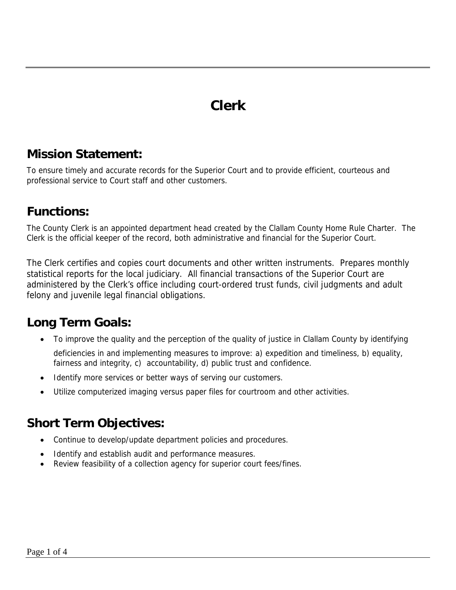### **Clerk**

#### **Mission Statement:**

To ensure timely and accurate records for the Superior Court and to provide efficient, courteous and professional service to Court staff and other customers.

#### **Functions:**

The County Clerk is an appointed department head created by the Clallam County Home Rule Charter. The Clerk is the official keeper of the record, both administrative and financial for the Superior Court.

The Clerk certifies and copies court documents and other written instruments. Prepares monthly statistical reports for the local judiciary. All financial transactions of the Superior Court are administered by the Clerk's office including court-ordered trust funds, civil judgments and adult felony and juvenile legal financial obligations.

#### **Long Term Goals:**

• To improve the quality and the perception of the quality of justice in Clallam County by identifying

deficiencies in and implementing measures to improve: a) expedition and timeliness, b) equality, fairness and integrity, c) accountability, d) public trust and confidence.

- Identify more services or better ways of serving our customers.
- Utilize computerized imaging versus paper files for courtroom and other activities.

#### **Short Term Objectives:**

- Continue to develop/update department policies and procedures.
- Identify and establish audit and performance measures.
- Review feasibility of a collection agency for superior court fees/fines.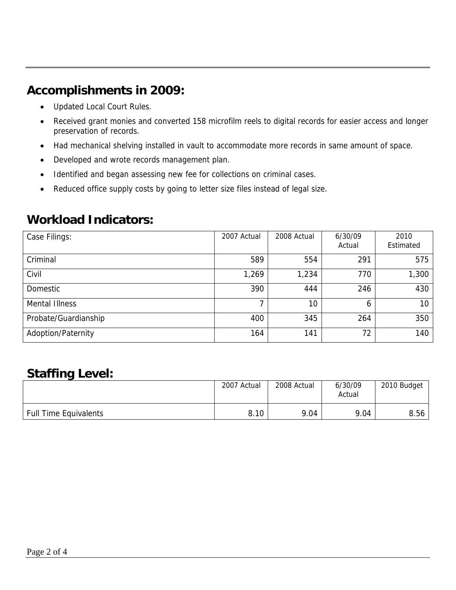#### **Accomplishments in 2009:**

- Updated Local Court Rules.
- Received grant monies and converted 158 microfilm reels to digital records for easier access and longer preservation of records.
- Had mechanical shelving installed in vault to accommodate more records in same amount of space.
- Developed and wrote records management plan.
- Identified and began assessing new fee for collections on criminal cases.
- Reduced office supply costs by going to letter size files instead of legal size.

#### **Workload Indicators:**

| Case Filings:         | 2007 Actual | 2008 Actual | 6/30/09<br>Actual | 2010<br>Estimated |
|-----------------------|-------------|-------------|-------------------|-------------------|
| Criminal              | 589         | 554         | 291               | 575               |
| Civil                 | 1,269       | 1,234       | 770               | 1,300             |
| Domestic              | 390         | 444         | 246               | 430               |
| <b>Mental Illness</b> |             | 10          | <sup>6</sup>      | 10                |
| Probate/Guardianship  | 400         | 345         | 264               | 350               |
| Adoption/Paternity    | 164         | 141         | 72                | 140               |

#### **Staffing Level:**

|                              | 2007 Actual | 2008 Actual | 6/30/09<br>Actual | 2010 Budget |
|------------------------------|-------------|-------------|-------------------|-------------|
| <b>Full Time Equivalents</b> | 8.10        | 9.04        | 9.04              | 8.56        |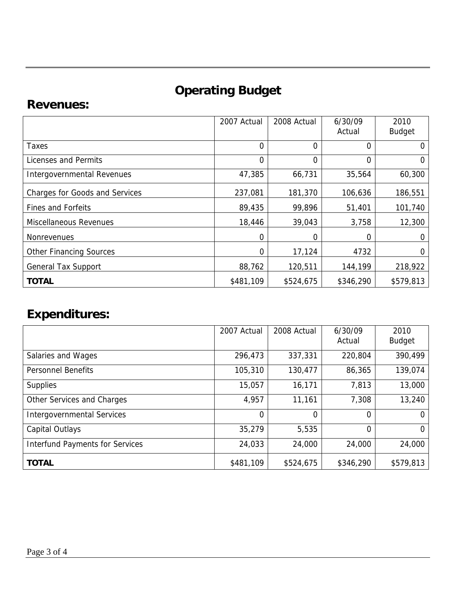# **Operating Budget**

#### **Revenues:**

|                                       | 2007 Actual    | 2008 Actual | 6/30/09<br>Actual | 2010<br><b>Budget</b> |
|---------------------------------------|----------------|-------------|-------------------|-----------------------|
| Taxes                                 | $\overline{0}$ | 0           | 0                 | 0                     |
| Licenses and Permits                  | $\overline{0}$ | 0           | 0                 | $\Omega$              |
| Intergovernmental Revenues            | 47,385         | 66,731      | 35,564            | 60,300                |
| <b>Charges for Goods and Services</b> | 237,081        | 181,370     | 106,636           | 186,551               |
| <b>Fines and Forfeits</b>             | 89,435         | 99,896      | 51,401            | 101,740               |
| <b>Miscellaneous Revenues</b>         | 18,446         | 39,043      | 3,758             | 12,300                |
| <b>Nonrevenues</b>                    | $\Omega$       | 0           | 0                 | 0                     |
| <b>Other Financing Sources</b>        | 0              | 17,124      | 4732              | 0                     |
| <b>General Tax Support</b>            | 88,762         | 120,511     | 144,199           | 218,922               |
| <b>TOTAL</b>                          | \$481,109      | \$524,675   | \$346,290         | \$579,813             |

## **Expenditures:**

|                                        | 2007 Actual    | 2008 Actual | 6/30/09<br>Actual | 2010<br><b>Budget</b> |
|----------------------------------------|----------------|-------------|-------------------|-----------------------|
| Salaries and Wages                     | 296,473        | 337,331     | 220,804           | 390,499               |
| <b>Personnel Benefits</b>              | 105,310        | 130,477     | 86,365            | 139,074               |
| <b>Supplies</b>                        | 15,057         | 16,171      | 7,813             | 13,000                |
| Other Services and Charges             | 4,957          | 11,161      | 7,308             | 13,240                |
| <b>Intergovernmental Services</b>      | $\overline{0}$ | 0           | $\Omega$          |                       |
| Capital Outlays                        | 35,279         | 5,535       | $\Omega$          | $\Omega$              |
| <b>Interfund Payments for Services</b> | 24,033         | 24,000      | 24,000            | 24,000                |
| <b>TOTAL</b>                           | \$481,109      | \$524,675   | \$346,290         | \$579,813             |